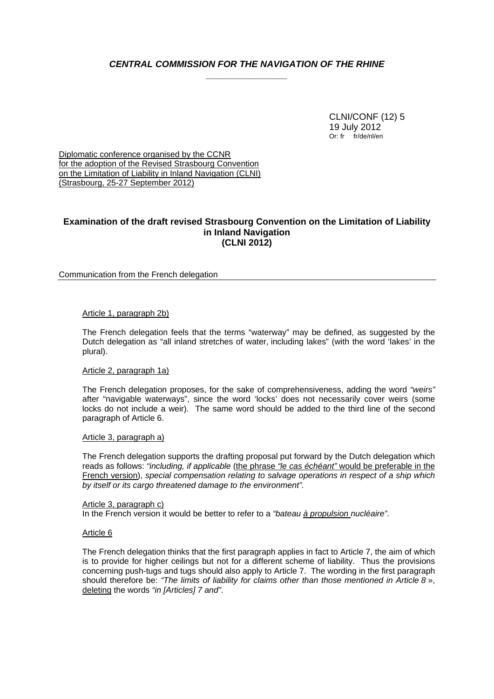# *CENTRAL COMMISSION FOR THE NAVIGATION OF THE RHINE \_\_\_\_\_\_\_\_\_\_\_\_\_\_\_\_*

 CLNI/CONF (12) 5 19 July 2012 Or: fr fr/de/nl/en

Diplomatic conference organised by the CCNR for the adoption of the Revised Strasbourg Convention on the Limitation of Liability in Inland Navigation (CLNI) (Strasbourg, 25-27 September 2012)

# **Examination of the draft revised Strasbourg Convention on the Limitation of Liability in Inland Navigation (CLNI 2012)**

# Communication from the French delegation

## Article 1, paragraph 2b)

 The French delegation feels that the terms "waterway" may be defined, as suggested by the Dutch delegation as "all inland stretches of water, including lakes" (with the word 'lakes' in the plural).

## Article 2, paragraph 1a)

 The French delegation proposes, for the sake of comprehensiveness, adding the word *"weirs"* after "navigable waterways", since the word 'locks' does not necessarily cover weirs (some locks do not include a weir). The same word should be added to the third line of the second paragraph of Article 6.

## Article 3, paragraph a)

 The French delegation supports the drafting proposal put forward by the Dutch delegation which reads as follows: *"including, if applicable* (the phrase *"le cas échéant"* would be preferable in the French version), *special compensation relating to salvage operations in respect of a ship which by itself or its cargo threatened damage to the environment".*

Article 3, paragraph c) In the French version it would be better to refer to a *"bateau à propulsion nucléaire"*.

## Article 6

 The French delegation thinks that the first paragraph applies in fact to Article 7, the aim of which is to provide for higher ceilings but not for a different scheme of liability. Thus the provisions concerning push-tugs and tugs should also apply to Article 7. The wording in the first paragraph should therefore be: *"The limits of liability for claims other than those mentioned in Article 8* », deleting the words *"in [Articles] 7 and"*.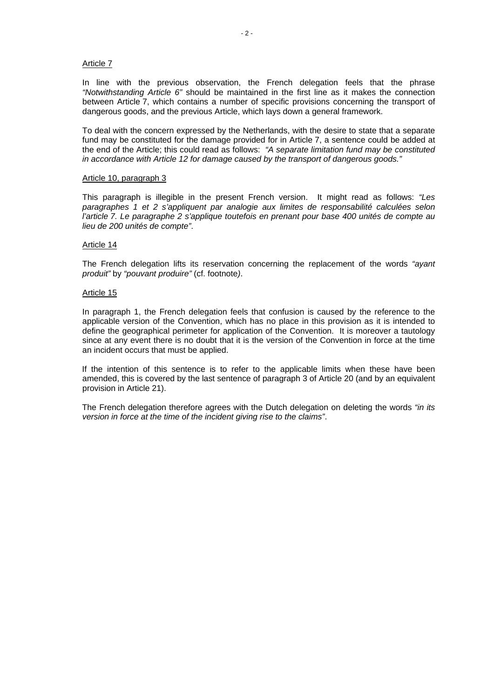## Article 7

 In line with the previous observation, the French delegation feels that the phrase *"Notwithstanding Article 6"* should be maintained in the first line as it makes the connection between Article 7, which contains a number of specific provisions concerning the transport of dangerous goods, and the previous Article, which lays down a general framework.

 To deal with the concern expressed by the Netherlands, with the desire to state that a separate fund may be constituted for the damage provided for in Article 7, a sentence could be added at the end of the Article; this could read as follows: *"A separate limitation fund may be constituted in accordance with Article 12 for damage caused by the transport of dangerous goods."*

### Article 10, paragraph 3

 This paragraph is illegible in the present French version. It might read as follows: *"Les paragraphes 1 et 2 s'appliquent par analogie aux limites de responsabilité calculées selon l'article 7. Le paragraphe 2 s'applique toutefois en prenant pour base 400 unités de compte au lieu de 200 unités de compte"*.

## Article 14

 The French delegation lifts its reservation concerning the replacement of the words *"ayant produit"* by *"pouvant produire"* (cf. footnote*)*.

#### Article 15

 In paragraph 1, the French delegation feels that confusion is caused by the reference to the applicable version of the Convention, which has no place in this provision as it is intended to define the geographical perimeter for application of the Convention. It is moreover a tautology since at any event there is no doubt that it is the version of the Convention in force at the time an incident occurs that must be applied.

If the intention of this sentence is to refer to the applicable limits when these have been amended, this is covered by the last sentence of paragraph 3 of Article 20 (and by an equivalent provision in Article 21).

The French delegation therefore agrees with the Dutch delegation on deleting the words *"in its version in force at the time of the incident giving rise to the claims"*.